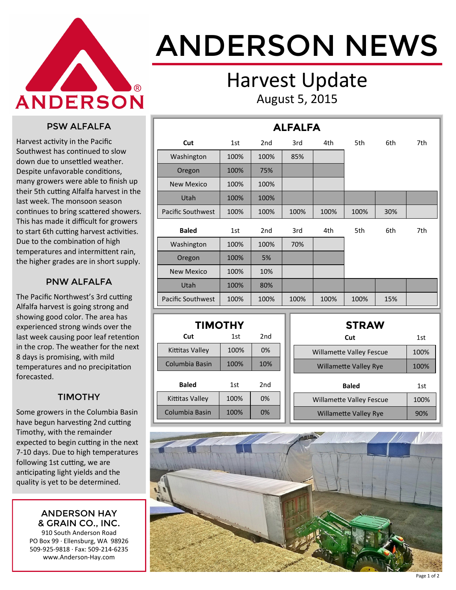

# ANDERSON NEWS

### Harvest Update August 5, 2015

#### PSW ALFALFA

Harvest activity in the Pacific Southwest has continued to slow down due to unsettled weather. Despite unfavorable conditions, many growers were able to finish up their 5th cutting Alfalfa harvest in the last week. The monsoon season continues to bring scattered showers. This has made it difficult for growers to start 6th cutting harvest activities. Due to the combination of high temperatures and intermittent rain, the higher grades are in short supply.

#### PNW ALFALFA

The Pacific Northwest's 3rd cutting Alfalfa harvest is going strong and showing good color. The area has experienced strong winds over the last week causing poor leaf retention in the crop. The weather for the next 8 days is promising, with mild temperatures and no precipitation forecasted.

#### TIMOTHY

Some growers in the Columbia Basin have begun harvesting 2nd cutting Timothy, with the remainder expected to begin cutting in the next 7-10 days. Due to high temperatures following 1st cutting, we are anticipating light yields and the quality is yet to be determined.

#### ANDERSON HAY & GRAIN CO., INC.

910 South Anderson Road PO Box 99 · Ellensburg, WA 98926 509-925-9818 · Fax: 509-214-6235 www.Anderson-Hay.com

| <b>ALFALFA</b>           |      |                 |      |      |      |     |     |  |  |
|--------------------------|------|-----------------|------|------|------|-----|-----|--|--|
| Cut                      | 1st  | 2 <sub>nd</sub> | 3rd  | 4th  | 5th  | 6th | 7th |  |  |
| Washington               | 100% | 100%            | 85%  |      |      |     |     |  |  |
| Oregon                   | 100% | 75%             |      |      |      |     |     |  |  |
| <b>New Mexico</b>        | 100% | 100%            |      |      |      |     |     |  |  |
| Utah                     | 100% | 100%            |      |      |      |     |     |  |  |
| <b>Pacific Southwest</b> | 100% | 100%            | 100% | 100% | 100% | 30% |     |  |  |
| <b>Baled</b>             | 1st  | 2 <sub>nd</sub> | 3rd  | 4th  | 5th  | 6th | 7th |  |  |
| Washington               | 100% | 100%            | 70%  |      |      |     |     |  |  |
| Oregon                   | 100% | 5%              |      |      |      |     |     |  |  |
| <b>New Mexico</b>        | 100% | 10%             |      |      |      |     |     |  |  |
| <b>Utah</b>              | 100% | 80%             |      |      |      |     |     |  |  |
| <b>Pacific Southwest</b> | 100% | 100%            | 100% | 100% | 100% | 15% |     |  |  |

| <b>TIMOTHY</b>  |      |     |  |  |  |  |  |  |
|-----------------|------|-----|--|--|--|--|--|--|
| Cut             | 1st  | 2nd |  |  |  |  |  |  |
| Kittitas Valley | 100% | 0%  |  |  |  |  |  |  |
| Columbia Basin  | 100% | 10% |  |  |  |  |  |  |
| <b>Baled</b>    | 1st  | 2nd |  |  |  |  |  |  |
| Kittitas Valley | 100% | 0%  |  |  |  |  |  |  |
| Columbia Basin  | 100% | 0%  |  |  |  |  |  |  |

| <b>STRAW</b>                    |      |
|---------------------------------|------|
| Cut                             | 1st  |
| <b>Willamette Valley Fescue</b> | 100% |
| <b>Willamette Valley Rye</b>    | 100% |
|                                 |      |
| <b>Baled</b>                    | 1st  |
| <b>Willamette Valley Fescue</b> | 100% |